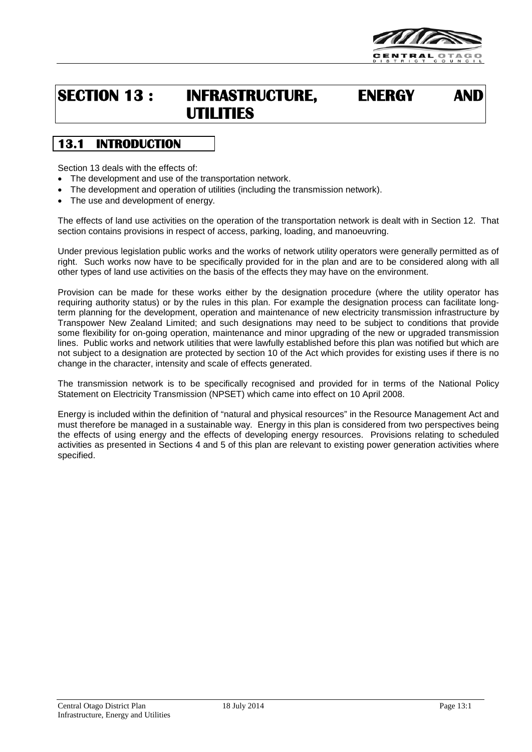

# **SECTION 13 : INFRASTRUCTURE, ENERGY AND UTILITIES**

# **13.1 INTRODUCTION**

Section 13 deals with the effects of:

- The development and use of the transportation network.
- The development and operation of utilities (including the transmission network).
- The use and development of energy.

The effects of land use activities on the operation of the transportation network is dealt with in Section 12. That section contains provisions in respect of access, parking, loading, and manoeuvring.

Under previous legislation public works and the works of network utility operators were generally permitted as of right. Such works now have to be specifically provided for in the plan and are to be considered along with all other types of land use activities on the basis of the effects they may have on the environment.

Provision can be made for these works either by the designation procedure (where the utility operator has requiring authority status) or by the rules in this plan. For example the designation process can facilitate longterm planning for the development, operation and maintenance of new electricity transmission infrastructure by Transpower New Zealand Limited; and such designations may need to be subject to conditions that provide some flexibility for on-going operation, maintenance and minor upgrading of the new or upgraded transmission lines. Public works and network utilities that were lawfully established before this plan was notified but which are not subject to a designation are protected by section 10 of the Act which provides for existing uses if there is no change in the character, intensity and scale of effects generated.

The transmission network is to be specifically recognised and provided for in terms of the National Policy Statement on Electricity Transmission (NPSET) which came into effect on 10 April 2008.

Energy is included within the definition of "natural and physical resources" in the Resource Management Act and must therefore be managed in a sustainable way. Energy in this plan is considered from two perspectives being the effects of using energy and the effects of developing energy resources. Provisions relating to scheduled activities as presented in Sections 4 and 5 of this plan are relevant to existing power generation activities where specified.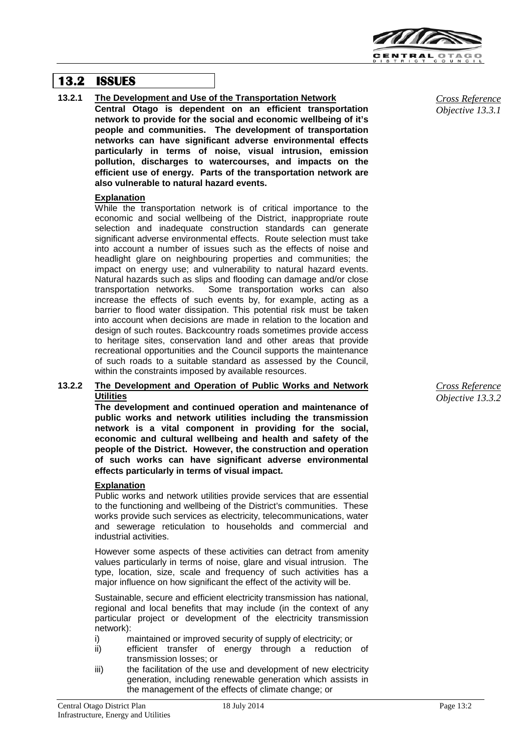

## **13.2 ISSUES**

**13.2.1 The Development and Use of the Transportation Network**

**Central Otago is dependent on an efficient transportation network to provide for the social and economic wellbeing of it's people and communities. The development of transportation networks can have significant adverse environmental effects particularly in terms of noise, visual intrusion, emission pollution, discharges to watercourses, and impacts on the efficient use of energy. Parts of the transportation network are also vulnerable to natural hazard events.**

#### **Explanation**

While the transportation network is of critical importance to the economic and social wellbeing of the District, inappropriate route selection and inadequate construction standards can generate significant adverse environmental effects. Route selection must take into account a number of issues such as the effects of noise and headlight glare on neighbouring properties and communities; the impact on energy use; and vulnerability to natural hazard events. Natural hazards such as slips and flooding can damage and/or close transportation networks. Some transportation works can also increase the effects of such events by, for example, acting as a barrier to flood water dissipation. This potential risk must be taken into account when decisions are made in relation to the location and design of such routes. Backcountry roads sometimes provide access to heritage sites, conservation land and other areas that provide recreational opportunities and the Council supports the maintenance of such roads to a suitable standard as assessed by the Council, within the constraints imposed by available resources.

#### **13.2.2 The Development and Operation of Public Works and Network Utilities**

**The development and continued operation and maintenance of public works and network utilities including the transmission network is a vital component in providing for the social, economic and cultural wellbeing and health and safety of the people of the District. However, the construction and operation of such works can have significant adverse environmental effects particularly in terms of visual impact.**

#### **Explanation**

Public works and network utilities provide services that are essential to the functioning and wellbeing of the District's communities. These works provide such services as electricity, telecommunications, water and sewerage reticulation to households and commercial and industrial activities.

However some aspects of these activities can detract from amenity values particularly in terms of noise, glare and visual intrusion. The type, location, size, scale and frequency of such activities has a major influence on how significant the effect of the activity will be.

Sustainable, secure and efficient electricity transmission has national, regional and local benefits that may include (in the context of any particular project or development of the electricity transmission network):

i) maintained or improved security of supply of electricity; or

- ii) efficient transfer of energy through a reduction of transmission losses; or
- iii) the facilitation of the use and development of new electricity generation, including renewable generation which assists in the management of the effects of climate change; or

*Cross Reference Objective 13.3.1*

*Cross Reference Objective 13.3.2*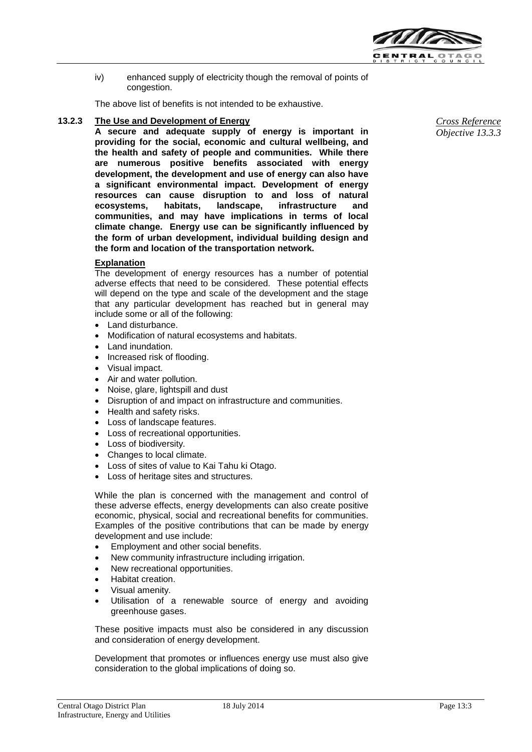

iv) enhanced supply of electricity though the removal of points of congestion.

The above list of benefits is not intended to be exhaustive.

#### **13.2.3 The Use and Development of Energy**

**A secure and adequate supply of energy is important in providing for the social, economic and cultural wellbeing, and the health and safety of people and communities. While there are numerous positive benefits associated with energy development, the development and use of energy can also have a significant environmental impact. Development of energy resources can cause disruption to and loss of natural ecosystems, habitats, landscape, infrastructure and communities, and may have implications in terms of local climate change. Energy use can be significantly influenced by the form of urban development, individual building design and the form and location of the transportation network.**

#### **Explanation**

The development of energy resources has a number of potential adverse effects that need to be considered. These potential effects will depend on the type and scale of the development and the stage that any particular development has reached but in general may include some or all of the following:

- Land disturbance.
- Modification of natural ecosystems and habitats.
- Land inundation.
- Increased risk of flooding.
- Visual impact.
- Air and water pollution.
- Noise, glare, lightspill and dust
- Disruption of and impact on infrastructure and communities.
- Health and safety risks.
- Loss of landscape features.
- Loss of recreational opportunities.
- Loss of biodiversity.
- Changes to local climate.
- Loss of sites of value to Kai Tahu ki Otago.
- Loss of heritage sites and structures.

While the plan is concerned with the management and control of these adverse effects, energy developments can also create positive economic, physical, social and recreational benefits for communities. Examples of the positive contributions that can be made by energy development and use include:

- Employment and other social benefits.
- New community infrastructure including irrigation.
- New recreational opportunities.
- Habitat creation.
- Visual amenity.
- Utilisation of a renewable source of energy and avoiding greenhouse gases.

These positive impacts must also be considered in any discussion and consideration of energy development.

Development that promotes or influences energy use must also give consideration to the global implications of doing so.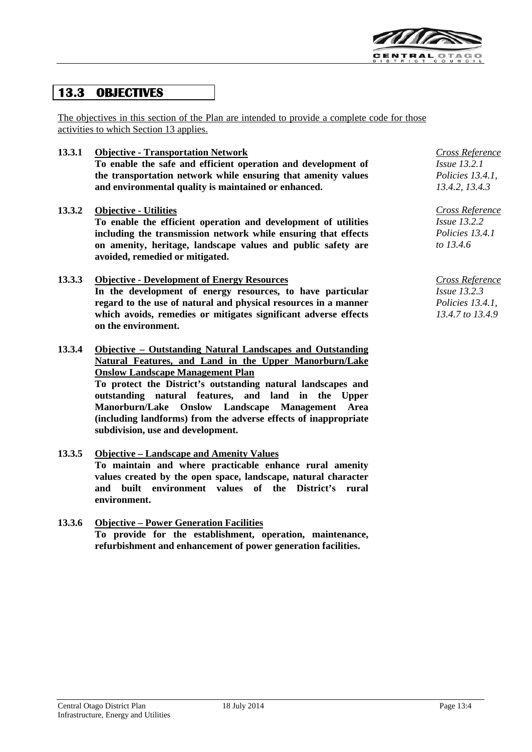

# **13.3 OBJECTIVES**

The objectives in this section of the Plan are intended to provide a complete code for those activities to which Section 13 applies.

**13.3.1 Objective - Transportation Network To enable the safe and efficient operation and development of the transportation network while ensuring that amenity values and environmental quality is maintained or enhanced.** 

#### **13.3.2 Objective - Utilities**

**To enable the efficient operation and development of utilities including the transmission network while ensuring that effects on amenity, heritage, landscape values and public safety are avoided, remedied or mitigated.**

- **13.3.3 Objective - Development of Energy Resources In the development of energy resources, to have particular regard to the use of natural and physical resources in a manner which avoids, remedies or mitigates significant adverse effects on the environment.**
- **13.3.4 Objective – Outstanding Natural Landscapes and Outstanding Natural Features, and Land in the Upper Manorburn/Lake Onslow Landscape Management Plan**

**To protect the District's outstanding natural landscapes and outstanding natural features, and land in the Upper Manorburn/Lake Onslow Landscape Management Area (including landforms) from the adverse effects of inappropriate subdivision, use and development.**

### **13.3.5 Objective – Landscape and Amenity Values To maintain and where practicable enhance rural amenity values created by the open space, landscape, natural character and built environment values of the District's rural environment.**

**13.3.6 Objective – Power Generation Facilities To provide for the establishment, operation, maintenance, refurbishment and enhancement of power generation facilities.**

*Cross Reference Issue 13.2.1 Policies 13.4.1, 13.4.2, 13.4.3*

*Cross Reference Issue 13.2.2 Policies 13.4.1 to 13.4.6*

*Cross Reference Issue 13.2.3 Policies 13.4.1, 13.4.7 to 13.4.9*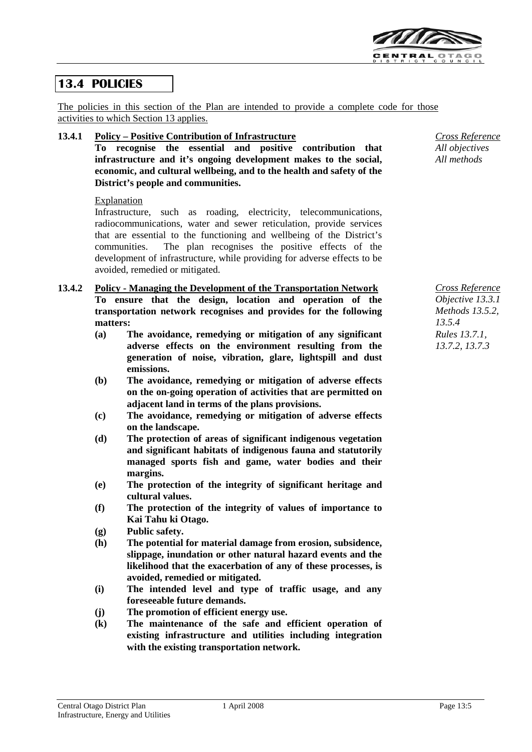

# **13.4 POLICIES**

The policies in this section of the Plan are intended to provide a complete code for those activities to which Section 13 applies.

#### **13.4.1 Policy – Positive Contribution of Infrastructure**

**To recognise the essential and positive contribution that infrastructure and it's ongoing development makes to the social, economic, and cultural wellbeing, and to the health and safety of the District's people and communities.**

#### Explanation

Infrastructure, such as roading, electricity, telecommunications, radiocommunications, water and sewer reticulation, provide services that are essential to the functioning and wellbeing of the District's communities. The plan recognises the positive effects of the development of infrastructure, while providing for adverse effects to be avoided, remedied or mitigated.

#### **13.4.2 Policy - Managing the Development of the Transportation Network To ensure that the design, location and operation of the transportation network recognises and provides for the following matters:**

- **(a) The avoidance, remedying or mitigation of any significant adverse effects on the environment resulting from the generation of noise, vibration, glare, lightspill and dust emissions.**
- **(b) The avoidance, remedying or mitigation of adverse effects on the on-going operation of activities that are permitted on adjacent land in terms of the plans provisions.**
- **(c) The avoidance, remedying or mitigation of adverse effects on the landscape.**
- **(d) The protection of areas of significant indigenous vegetation and significant habitats of indigenous fauna and statutorily managed sports fish and game, water bodies and their margins.**
- **(e) The protection of the integrity of significant heritage and cultural values.**
- **(f) The protection of the integrity of values of importance to Kai Tahu ki Otago.**
- **(g) Public safety.**
- **(h) The potential for material damage from erosion, subsidence, slippage, inundation or other natural hazard events and the likelihood that the exacerbation of any of these processes, is avoided, remedied or mitigated.**
- **(i) The intended level and type of traffic usage, and any foreseeable future demands.**
- **(j) The promotion of efficient energy use.**
- **(k) The maintenance of the safe and efficient operation of existing infrastructure and utilities including integration with the existing transportation network.**

*Cross Reference All objectives All methods*

*Cross Reference Objective 13.3.1 Methods 13.5.2, 13.5.4 Rules 13.7.1, 13.7.2, 13.7.3*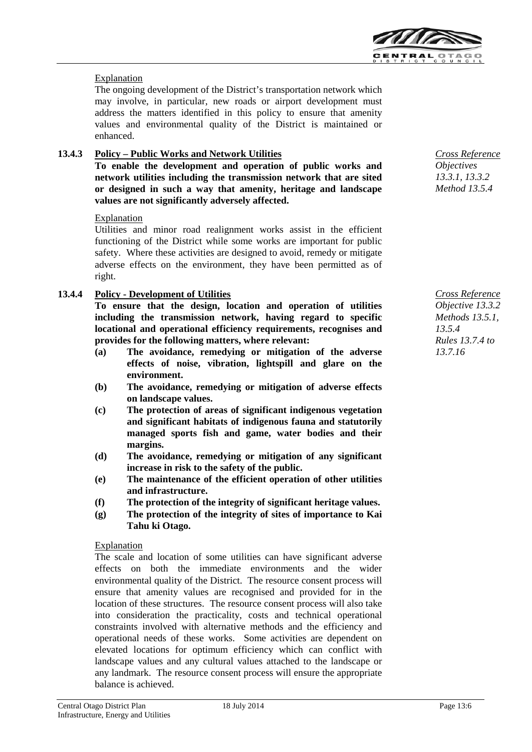

## Explanation

The ongoing development of the District's transportation network which may involve, in particular, new roads or airport development must address the matters identified in this policy to ensure that amenity values and environmental quality of the District is maintained or enhanced.

## **13.4.3 Policy – Public Works and Network Utilities**

**To enable the development and operation of public works and network utilities including the transmission network that are sited or designed in such a way that amenity, heritage and landscape values are not significantly adversely affected.** 

#### Explanation

Utilities and minor road realignment works assist in the efficient functioning of the District while some works are important for public safety. Where these activities are designed to avoid, remedy or mitigate adverse effects on the environment, they have been permitted as of right.

#### **13.4.4 Policy - Development of Utilities**

**To ensure that the design, location and operation of utilities including the transmission network, having regard to specific locational and operational efficiency requirements, recognises and provides for the following matters, where relevant:**

- **(a) The avoidance, remedying or mitigation of the adverse effects of noise, vibration, lightspill and glare on the environment.**
- **(b) The avoidance, remedying or mitigation of adverse effects on landscape values.**
- **(c) The protection of areas of significant indigenous vegetation and significant habitats of indigenous fauna and statutorily managed sports fish and game, water bodies and their margins.**
- **(d) The avoidance, remedying or mitigation of any significant increase in risk to the safety of the public.**
- **(e) The maintenance of the efficient operation of other utilities and infrastructure.**
- **(f) The protection of the integrity of significant heritage values.**
- **(g) The protection of the integrity of sites of importance to Kai Tahu ki Otago.**

#### Explanation

The scale and location of some utilities can have significant adverse effects on both the immediate environments and the wider environmental quality of the District. The resource consent process will ensure that amenity values are recognised and provided for in the location of these structures. The resource consent process will also take into consideration the practicality, costs and technical operational constraints involved with alternative methods and the efficiency and operational needs of these works. Some activities are dependent on elevated locations for optimum efficiency which can conflict with landscape values and any cultural values attached to the landscape or any landmark. The resource consent process will ensure the appropriate balance is achieved.



*Cross Reference Objective 13.3.2 Methods 13.5.1, 13.5.4 Rules 13.7.4 to 13.7.16*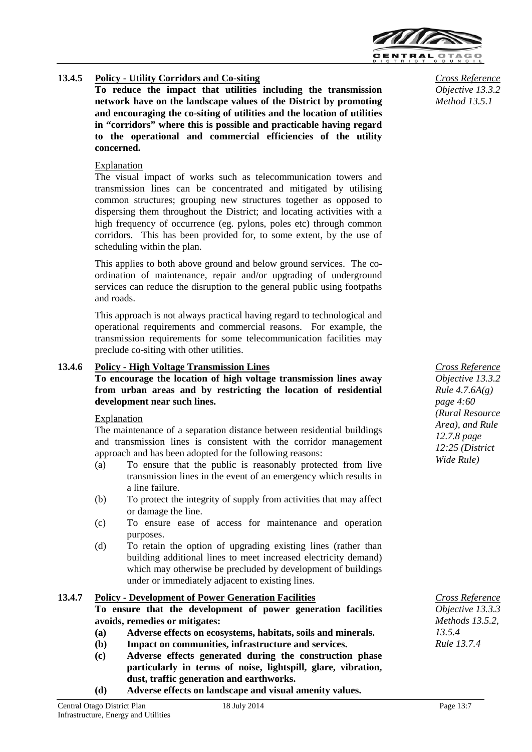

## **13.4.5 Policy - Utility Corridors and Co-siting**

**To reduce the impact that utilities including the transmission network have on the landscape values of the District by promoting and encouraging the co-siting of utilities and the location of utilities in "corridors" where this is possible and practicable having regard to the operational and commercial efficiencies of the utility concerned.**

#### Explanation

The visual impact of works such as telecommunication towers and transmission lines can be concentrated and mitigated by utilising common structures; grouping new structures together as opposed to dispersing them throughout the District; and locating activities with a high frequency of occurrence (eg. pylons, poles etc) through common corridors. This has been provided for, to some extent, by the use of scheduling within the plan.

This applies to both above ground and below ground services. The coordination of maintenance, repair and/or upgrading of underground services can reduce the disruption to the general public using footpaths and roads.

This approach is not always practical having regard to technological and operational requirements and commercial reasons. For example, the transmission requirements for some telecommunication facilities may preclude co-siting with other utilities.

#### **13.4.6 Policy - High Voltage Transmission Lines**

**To encourage the location of high voltage transmission lines away from urban areas and by restricting the location of residential development near such lines.**

#### Explanation

The maintenance of a separation distance between residential buildings and transmission lines is consistent with the corridor management approach and has been adopted for the following reasons:

- (a) To ensure that the public is reasonably protected from live transmission lines in the event of an emergency which results in a line failure.
- (b) To protect the integrity of supply from activities that may affect or damage the line.
- (c) To ensure ease of access for maintenance and operation purposes.
- (d) To retain the option of upgrading existing lines (rather than building additional lines to meet increased electricity demand) which may otherwise be precluded by development of buildings under or immediately adjacent to existing lines.

#### **13.4.7 Policy - Development of Power Generation Facilities**

**To ensure that the development of power generation facilities avoids, remedies or mitigates:**

- **(a) Adverse effects on ecosystems, habitats, soils and minerals.**
- **(b) Impact on communities, infrastructure and services.**
- **(c) Adverse effects generated during the construction phase particularly in terms of noise, lightspill, glare, vibration, dust, traffic generation and earthworks.**
- **(d) Adverse effects on landscape and visual amenity values.**

*Cross Reference Objective 13.3.2 Method 13.5.1*

*Cross Reference Objective 13.3.2 Rule 4.7.6A(g) page 4:60 (Rural Resource Area), and Rule 12.7.8 page 12:25 (District Wide Rule)*

*Cross Reference Objective 13.3.3 Methods 13.5.2, 13.5.4 Rule 13.7.4*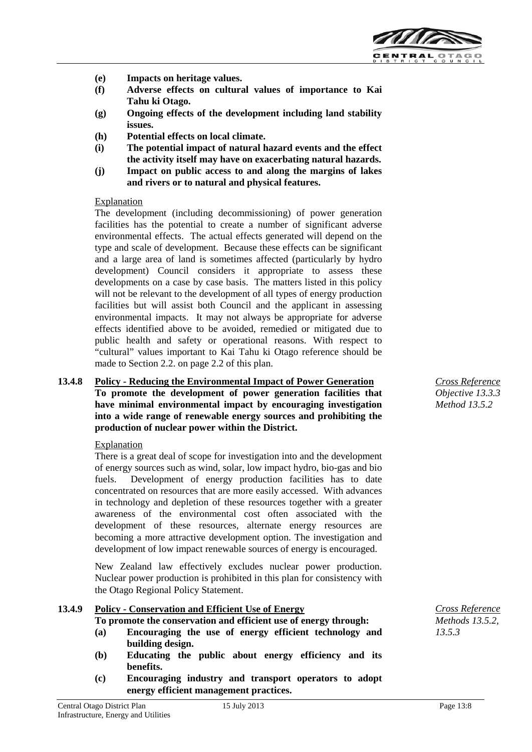

- **(e) Impacts on heritage values.**
- **(f) Adverse effects on cultural values of importance to Kai Tahu ki Otago.**
- **(g) Ongoing effects of the development including land stability issues.**
- **(h) Potential effects on local climate.**
- **(i) The potential impact of natural hazard events and the effect the activity itself may have on exacerbating natural hazards.**
- **(j) Impact on public access to and along the margins of lakes and rivers or to natural and physical features.**

#### Explanation

The development (including decommissioning) of power generation facilities has the potential to create a number of significant adverse environmental effects. The actual effects generated will depend on the type and scale of development. Because these effects can be significant and a large area of land is sometimes affected (particularly by hydro development) Council considers it appropriate to assess these developments on a case by case basis. The matters listed in this policy will not be relevant to the development of all types of energy production facilities but will assist both Council and the applicant in assessing environmental impacts. It may not always be appropriate for adverse effects identified above to be avoided, remedied or mitigated due to public health and safety or operational reasons. With respect to "cultural" values important to Kai Tahu ki Otago reference should be made to Section 2.2. on page 2.2 of this plan.

#### **13.4.8 Policy - Reducing the Environmental Impact of Power Generation To promote the development of power generation facilities that have minimal environmental impact by encouraging investigation into a wide range of renewable energy sources and prohibiting the**

**production of nuclear power within the District.**

#### Explanation

There is a great deal of scope for investigation into and the development of energy sources such as wind, solar, low impact hydro, bio-gas and bio fuels. Development of energy production facilities has to date concentrated on resources that are more easily accessed. With advances in technology and depletion of these resources together with a greater awareness of the environmental cost often associated with the development of these resources, alternate energy resources are becoming a more attractive development option. The investigation and development of low impact renewable sources of energy is encouraged.

New Zealand law effectively excludes nuclear power production. Nuclear power production is prohibited in this plan for consistency with the Otago Regional Policy Statement.

## **13.4.9 Policy - Conservation and Efficient Use of Energy**

**To promote the conservation and efficient use of energy through:**

- **(a) Encouraging the use of energy efficient technology and building design.**
- **(b) Educating the public about energy efficiency and its benefits.**
- **(c) Encouraging industry and transport operators to adopt energy efficient management practices.**



*Cross Reference Methods 13.5.2, 13.5.3*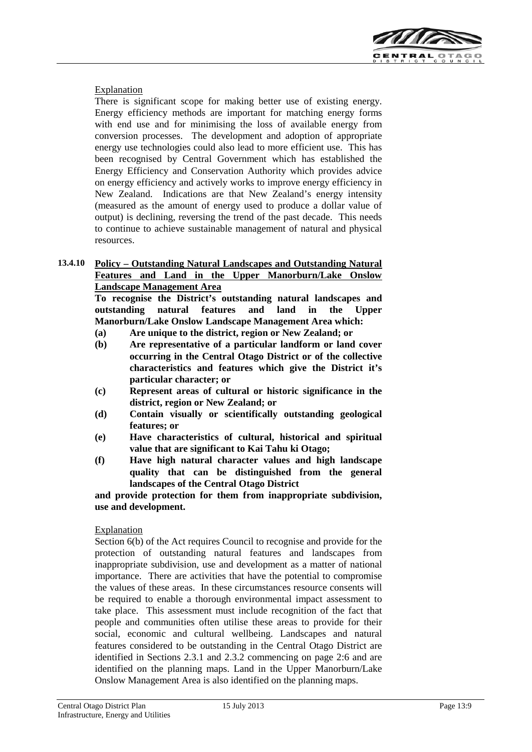

#### Explanation

There is significant scope for making better use of existing energy. Energy efficiency methods are important for matching energy forms with end use and for minimising the loss of available energy from conversion processes. The development and adoption of appropriate energy use technologies could also lead to more efficient use. This has been recognised by Central Government which has established the Energy Efficiency and Conservation Authority which provides advice on energy efficiency and actively works to improve energy efficiency in New Zealand. Indications are that New Zealand's energy intensity (measured as the amount of energy used to produce a dollar value of output) is declining, reversing the trend of the past decade. This needs to continue to achieve sustainable management of natural and physical resources.

#### **13.4.10 Policy – Outstanding Natural Landscapes and Outstanding Natural Features and Land in the Upper Manorburn/Lake Onslow Landscape Management Area**

**To recognise the District's outstanding natural landscapes and outstanding natural features and land in the Upper Manorburn/Lake Onslow Landscape Management Area which:**

- **(a) Are unique to the district, region or New Zealand; or**
- **(b) Are representative of a particular landform or land cover occurring in the Central Otago District or of the collective characteristics and features which give the District it's particular character; or**
- **(c) Represent areas of cultural or historic significance in the district, region or New Zealand; or**
- **(d) Contain visually or scientifically outstanding geological features; or**
- **(e) Have characteristics of cultural, historical and spiritual value that are significant to Kai Tahu ki Otago;**
- **(f) Have high natural character values and high landscape quality that can be distinguished from the general landscapes of the Central Otago District**

**and provide protection for them from inappropriate subdivision, use and development.**

#### Explanation

Section 6(b) of the Act requires Council to recognise and provide for the protection of outstanding natural features and landscapes from inappropriate subdivision, use and development as a matter of national importance. There are activities that have the potential to compromise the values of these areas. In these circumstances resource consents will be required to enable a thorough environmental impact assessment to take place. This assessment must include recognition of the fact that people and communities often utilise these areas to provide for their social, economic and cultural wellbeing. Landscapes and natural features considered to be outstanding in the Central Otago District are identified in Sections 2.3.1 and 2.3.2 commencing on page 2:6 and are identified on the planning maps. Land in the Upper Manorburn/Lake Onslow Management Area is also identified on the planning maps.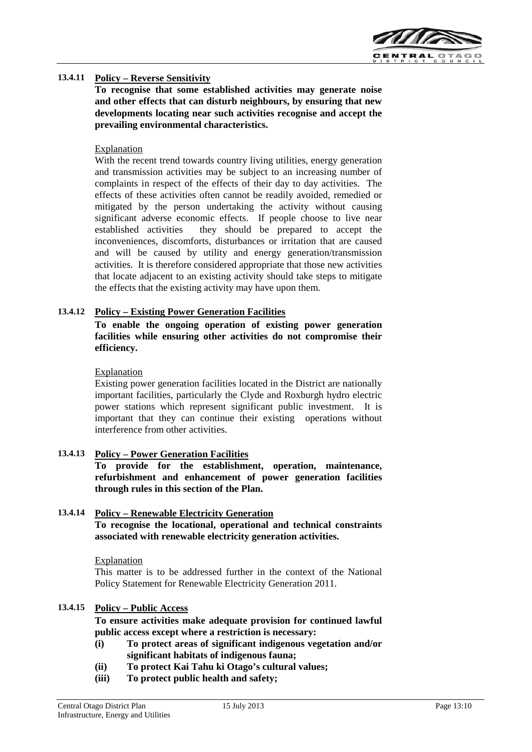

#### **13.4.11 Policy – Reverse Sensitivity**

**To recognise that some established activities may generate noise and other effects that can disturb neighbours, by ensuring that new developments locating near such activities recognise and accept the prevailing environmental characteristics.**

#### Explanation

With the recent trend towards country living utilities, energy generation and transmission activities may be subject to an increasing number of complaints in respect of the effects of their day to day activities. The effects of these activities often cannot be readily avoided, remedied or mitigated by the person undertaking the activity without causing significant adverse economic effects. If people choose to live near established activities they should be prepared to accept the inconveniences, discomforts, disturbances or irritation that are caused and will be caused by utility and energy generation/transmission activities. It is therefore considered appropriate that those new activities that locate adjacent to an existing activity should take steps to mitigate the effects that the existing activity may have upon them.

#### **13.4.12 Policy – Existing Power Generation Facilities**

**To enable the ongoing operation of existing power generation facilities while ensuring other activities do not compromise their efficiency.**

#### Explanation

Existing power generation facilities located in the District are nationally important facilities, particularly the Clyde and Roxburgh hydro electric power stations which represent significant public investment. It is important that they can continue their existing operations without interference from other activities.

#### **13.4.13 Policy – Power Generation Facilities**

**To provide for the establishment, operation, maintenance, refurbishment and enhancement of power generation facilities through rules in this section of the Plan.**

#### **13.4.14 Policy – Renewable Electricity Generation**

**To recognise the locational, operational and technical constraints associated with renewable electricity generation activities.**

**Explanation** 

This matter is to be addressed further in the context of the National Policy Statement for Renewable Electricity Generation 2011.

#### **13.4.15 Policy – Public Access**

**To ensure activities make adequate provision for continued lawful public access except where a restriction is necessary:**

- **(i) To protect areas of significant indigenous vegetation and/or significant habitats of indigenous fauna;**
- **(ii) To protect Kai Tahu ki Otago's cultural values;**
- **(iii) To protect public health and safety;**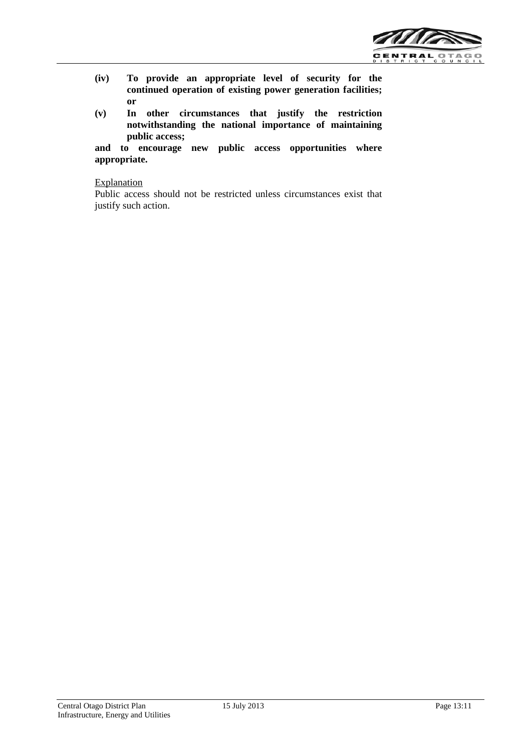

- **(iv) To provide an appropriate level of security for the continued operation of existing power generation facilities; or**
- **(v) In other circumstances that justify the restriction notwithstanding the national importance of maintaining public access;**

**and to encourage new public access opportunities where appropriate.**

#### Explanation

Public access should not be restricted unless circumstances exist that justify such action.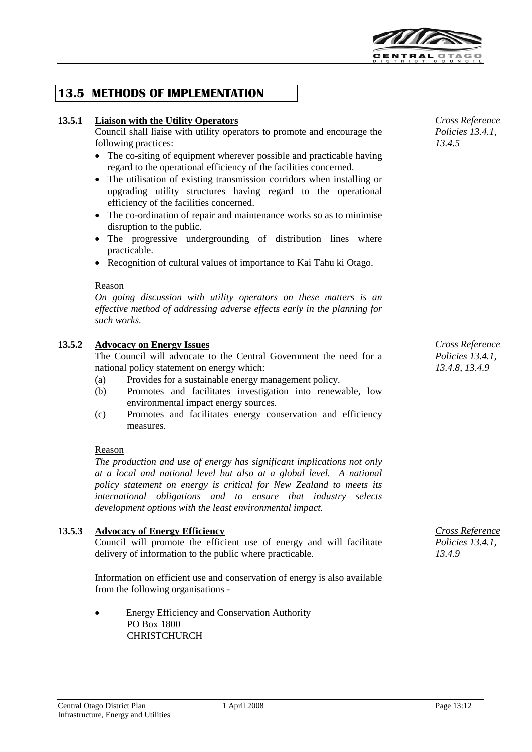

# **13.5 METHODS OF IMPLEMENTATION**

#### **13.5.1 Liaison with the Utility Operators**

Council shall liaise with utility operators to promote and encourage the following practices:

- The co-siting of equipment wherever possible and practicable having regard to the operational efficiency of the facilities concerned.
- The utilisation of existing transmission corridors when installing or upgrading utility structures having regard to the operational efficiency of the facilities concerned.
- The co-ordination of repair and maintenance works so as to minimise disruption to the public.
- The progressive undergrounding of distribution lines where practicable.
- Recognition of cultural values of importance to Kai Tahu ki Otago.

#### Reason

*On going discussion with utility operators on these matters is an effective method of addressing adverse effects early in the planning for such works.*

#### **13.5.2 Advocacy on Energy Issues**

The Council will advocate to the Central Government the need for a national policy statement on energy which:

- (a) Provides for a sustainable energy management policy.
- (b) Promotes and facilitates investigation into renewable, low environmental impact energy sources.
- (c) Promotes and facilitates energy conservation and efficiency measures.

#### Reason

*The production and use of energy has significant implications not only at a local and national level but also at a global level. A national policy statement on energy is critical for New Zealand to meets its international obligations and to ensure that industry selects development options with the least environmental impact.*

#### **13.5.3 Advocacy of Energy Efficiency**

Council will promote the efficient use of energy and will facilitate delivery of information to the public where practicable.

Information on efficient use and conservation of energy is also available from the following organisations -

• Energy Efficiency and Conservation Authority PO Box 1800 **CHRISTCHURCH** 

*Cross Reference Policies 13.4.1, 13.4.5*

*Cross Reference Policies 13.4.1, 13.4.8, 13.4.9*

*Cross Reference Policies 13.4.1, 13.4.9*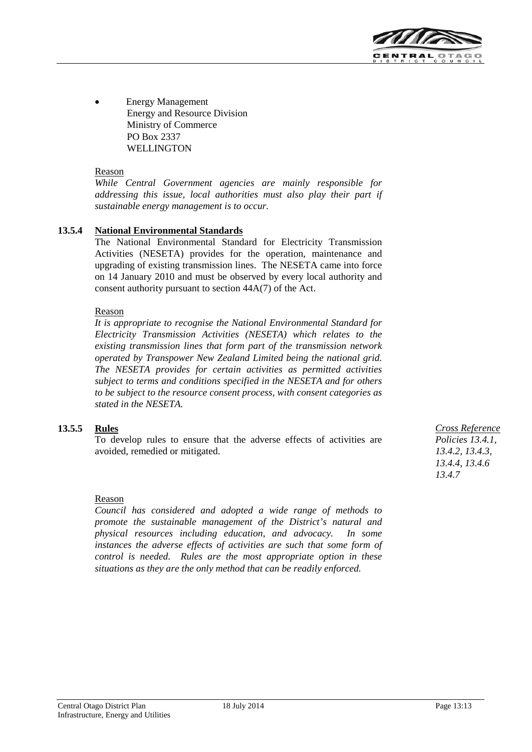

• Energy Management Energy and Resource Division Ministry of Commerce PO Box 2337 WELLINGTON

#### Reason

*While Central Government agencies are mainly responsible for addressing this issue, local authorities must also play their part if sustainable energy management is to occur.*

#### **13.5.4 National Environmental Standards**

The National Environmental Standard for Electricity Transmission Activities (NESETA) provides for the operation, maintenance and upgrading of existing transmission lines. The NESETA came into force on 14 January 2010 and must be observed by every local authority and consent authority pursuant to section 44A(7) of the Act.

#### Reason

*It is appropriate to recognise the National Environmental Standard for Electricity Transmission Activities (NESETA) which relates to the existing transmission lines that form part of the transmission network operated by Transpower New Zealand Limited being the national grid. The NESETA provides for certain activities as permitted activities subject to terms and conditions specified in the NESETA and for others to be subject to the resource consent process, with consent categories as stated in the NESETA.*

#### **13.5.5 Rules**

To develop rules to ensure that the adverse effects of activities are avoided, remedied or mitigated.

#### Reason

*Council has considered and adopted a wide range of methods to promote the sustainable management of the District's natural and physical resources including education, and advocacy. In some*  instances the adverse effects of activities are such that some form of *control is needed. Rules are the most appropriate option in these situations as they are the only method that can be readily enforced.*

*Cross Reference Policies 13.4.1, 13.4.2, 13.4.3, 13.4.4, 13.4.6 13.4.7*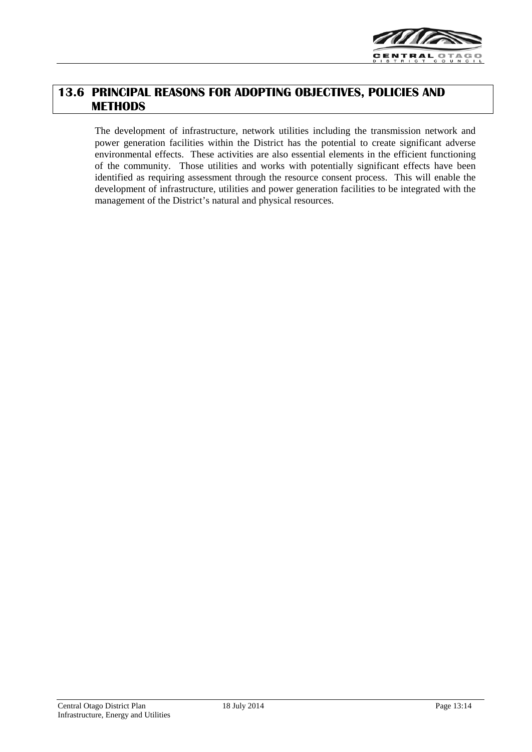

# **13.6 PRINCIPAL REASONS FOR ADOPTING OBJECTIVES, POLICIES AND METHODS**

The development of infrastructure, network utilities including the transmission network and power generation facilities within the District has the potential to create significant adverse environmental effects. These activities are also essential elements in the efficient functioning of the community. Those utilities and works with potentially significant effects have been identified as requiring assessment through the resource consent process. This will enable the development of infrastructure, utilities and power generation facilities to be integrated with the management of the District's natural and physical resources.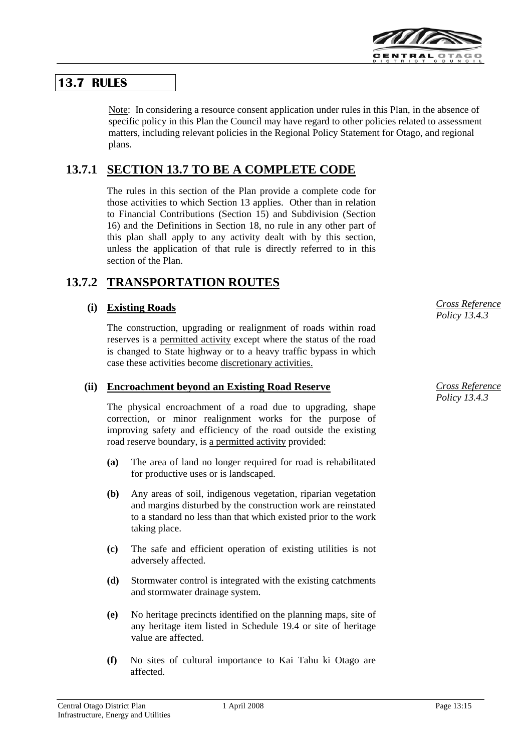

# **13.7 RULES**

Note: In considering a resource consent application under rules in this Plan, in the absence of specific policy in this Plan the Council may have regard to other policies related to assessment matters, including relevant policies in the Regional Policy Statement for Otago, and regional plans.

# **13.7.1 SECTION 13.7 TO BE A COMPLETE CODE**

The rules in this section of the Plan provide a complete code for those activities to which Section 13 applies. Other than in relation to Financial Contributions (Section 15) and Subdivision (Section 16) and the Definitions in Section 18, no rule in any other part of this plan shall apply to any activity dealt with by this section, unless the application of that rule is directly referred to in this section of the Plan.

# **13.7.2 TRANSPORTATION ROUTES**

## **(i) Existing Roads**

The construction, upgrading or realignment of roads within road reserves is a permitted activity except where the status of the road is changed to State highway or to a heavy traffic bypass in which case these activities become discretionary activities.

## **(ii) Encroachment beyond an Existing Road Reserve**

The physical encroachment of a road due to upgrading, shape correction, or minor realignment works for the purpose of improving safety and efficiency of the road outside the existing road reserve boundary, is a permitted activity provided:

- **(a)** The area of land no longer required for road is rehabilitated for productive uses or is landscaped.
- **(b)** Any areas of soil, indigenous vegetation, riparian vegetation and margins disturbed by the construction work are reinstated to a standard no less than that which existed prior to the work taking place.
- **(c)** The safe and efficient operation of existing utilities is not adversely affected.
- **(d)** Stormwater control is integrated with the existing catchments and stormwater drainage system.
- **(e)** No heritage precincts identified on the planning maps, site of any heritage item listed in Schedule 19.4 or site of heritage value are affected.
- **(f)** No sites of cultural importance to Kai Tahu ki Otago are affected.

*Cross Reference Policy 13.4.3*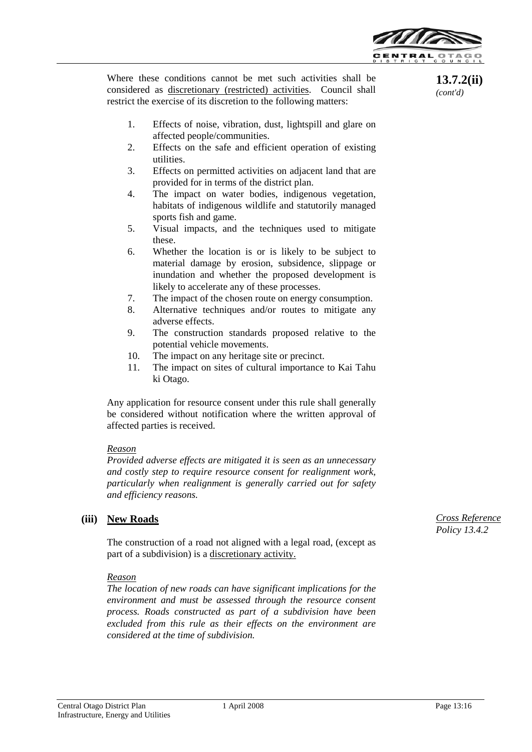

**13.7.2(ii)** *(cont'd)*

Where these conditions cannot be met such activities shall be considered as discretionary (restricted) activities. Council shall restrict the exercise of its discretion to the following matters:

- 1. Effects of noise, vibration, dust, lightspill and glare on affected people/communities.
- 2. Effects on the safe and efficient operation of existing utilities.
- 3. Effects on permitted activities on adjacent land that are provided for in terms of the district plan.
- 4. The impact on water bodies, indigenous vegetation, habitats of indigenous wildlife and statutorily managed sports fish and game.
- 5. Visual impacts, and the techniques used to mitigate these.
- 6. Whether the location is or is likely to be subject to material damage by erosion, subsidence, slippage or inundation and whether the proposed development is likely to accelerate any of these processes.
- 7. The impact of the chosen route on energy consumption.
- 8. Alternative techniques and/or routes to mitigate any adverse effects.
- 9. The construction standards proposed relative to the potential vehicle movements.
- 10. The impact on any heritage site or precinct.
- 11. The impact on sites of cultural importance to Kai Tahu ki Otago.

Any application for resource consent under this rule shall generally be considered without notification where the written approval of affected parties is received.

#### *Reason*

*Provided adverse effects are mitigated it is seen as an unnecessary and costly step to require resource consent for realignment work, particularly when realignment is generally carried out for safety and efficiency reasons.*

#### **(iii) New Roads**

The construction of a road not aligned with a legal road, (except as part of a subdivision) is a discretionary activity.

#### *Reason*

*The location of new roads can have significant implications for the environment and must be assessed through the resource consent process. Roads constructed as part of a subdivision have been excluded from this rule as their effects on the environment are considered at the time of subdivision.*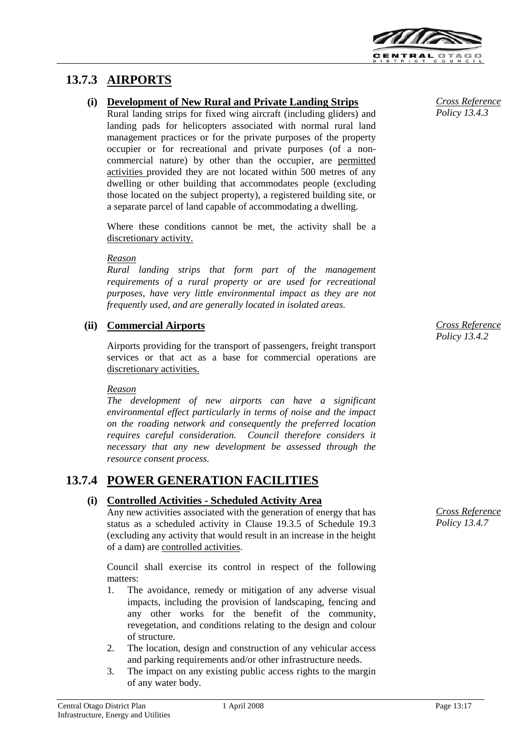

# **13.7.3 AIRPORTS**

## **(i) Development of New Rural and Private Landing Strips**

Rural landing strips for fixed wing aircraft (including gliders) and landing pads for helicopters associated with normal rural land management practices or for the private purposes of the property occupier or for recreational and private purposes (of a noncommercial nature) by other than the occupier, are permitted activities provided they are not located within 500 metres of any dwelling or other building that accommodates people (excluding those located on the subject property), a registered building site, or a separate parcel of land capable of accommodating a dwelling.

Where these conditions cannot be met, the activity shall be a discretionary activity.

#### *Reason*

*Rural landing strips that form part of the management requirements of a rural property or are used for recreational purposes, have very little environmental impact as they are not frequently used, and are generally located in isolated areas.*

## **(ii) Commercial Airports**

Airports providing for the transport of passengers, freight transport services or that act as a base for commercial operations are discretionary activities.

#### *Reason*

*The development of new airports can have a significant environmental effect particularly in terms of noise and the impact on the roading network and consequently the preferred location requires careful consideration. Council therefore considers it necessary that any new development be assessed through the resource consent process.*

# **13.7.4 POWER GENERATION FACILITIES**

## **(i) Controlled Activities - Scheduled Activity Area**

Any new activities associated with the generation of energy that has status as a scheduled activity in Clause 19.3.5 of Schedule 19.3 (excluding any activity that would result in an increase in the height of a dam) are controlled activities.

Council shall exercise its control in respect of the following matters:

- 1. The avoidance, remedy or mitigation of any adverse visual impacts, including the provision of landscaping, fencing and any other works for the benefit of the community, revegetation, and conditions relating to the design and colour of structure.
- 2. The location, design and construction of any vehicular access and parking requirements and/or other infrastructure needs.
- 3. The impact on any existing public access rights to the margin of any water body.

*Cross Reference Policy 13.4.3*

*Cross Reference Policy 13.4.2*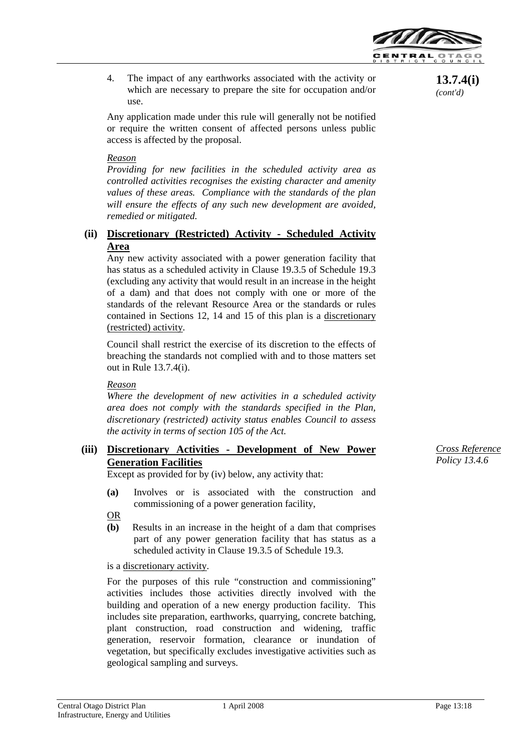

4. The impact of any earthworks associated with the activity or which are necessary to prepare the site for occupation and/or use.

Any application made under this rule will generally not be notified or require the written consent of affected persons unless public access is affected by the proposal.

#### *Reason*

*Providing for new facilities in the scheduled activity area as controlled activities recognises the existing character and amenity values of these areas. Compliance with the standards of the plan will ensure the effects of any such new development are avoided, remedied or mitigated.*

### **(ii) Discretionary (Restricted) Activity - Scheduled Activity Area**

Any new activity associated with a power generation facility that has status as a scheduled activity in Clause 19.3.5 of Schedule 19.3 (excluding any activity that would result in an increase in the height of a dam) and that does not comply with one or more of the standards of the relevant Resource Area or the standards or rules contained in Sections 12, 14 and 15 of this plan is a discretionary (restricted) activity.

Council shall restrict the exercise of its discretion to the effects of breaching the standards not complied with and to those matters set out in Rule 13.7.4(i).

#### *Reason*

*Where the development of new activities in a scheduled activity area does not comply with the standards specified in the Plan, discretionary (restricted) activity status enables Council to assess the activity in terms of section 105 of the Act.*

## **(iii) Discretionary Activities - Development of New Power Generation Facilities**

Except as provided for by (iv) below, any activity that:

- **(a)** Involves or is associated with the construction and commissioning of a power generation facility,
- OR
- **(b)** Results in an increase in the height of a dam that comprises part of any power generation facility that has status as a scheduled activity in Clause 19.3.5 of Schedule 19.3.

is a discretionary activity.

For the purposes of this rule "construction and commissioning" activities includes those activities directly involved with the building and operation of a new energy production facility. This includes site preparation, earthworks, quarrying, concrete batching, plant construction, road construction and widening, traffic generation, reservoir formation, clearance or inundation of vegetation, but specifically excludes investigative activities such as geological sampling and surveys.

*Cross Reference Policy 13.4.6*

**13.7.4(i)** *(cont'd)*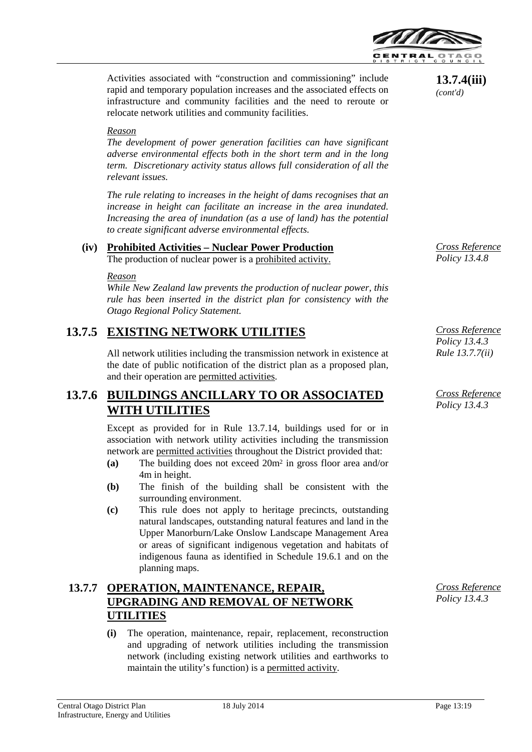

Activities associated with "construction and commissioning" include rapid and temporary population increases and the associated effects on infrastructure and community facilities and the need to reroute or relocate network utilities and community facilities.

#### *Reason*

*The development of power generation facilities can have significant adverse environmental effects both in the short term and in the long term. Discretionary activity status allows full consideration of all the relevant issues.*

*The rule relating to increases in the height of dams recognises that an increase in height can facilitate an increase in the area inundated. Increasing the area of inundation (as a use of land) has the potential to create significant adverse environmental effects.*

#### **(iv) Prohibited Activities – Nuclear Power Production** The production of nuclear power is a prohibited activity.

#### *Reason*

*While New Zealand law prevents the production of nuclear power, this rule has been inserted in the district plan for consistency with the Otago Regional Policy Statement.*

# **13.7.5 EXISTING NETWORK UTILITIES**

All network utilities including the transmission network in existence at the date of public notification of the district plan as a proposed plan, and their operation are permitted activities.

# **13.7.6 BUILDINGS ANCILLARY TO OR ASSOCIATED WITH UTILITIES**

Except as provided for in Rule 13.7.14, buildings used for or in association with network utility activities including the transmission network are permitted activities throughout the District provided that:

- **(a)** The building does not exceed 20m2 in gross floor area and/or 4m in height.
- **(b)** The finish of the building shall be consistent with the surrounding environment.
- **(c)** This rule does not apply to heritage precincts, outstanding natural landscapes, outstanding natural features and land in the Upper Manorburn/Lake Onslow Landscape Management Area or areas of significant indigenous vegetation and habitats of indigenous fauna as identified in Schedule 19.6.1 and on the planning maps.

# **13.7.7 OPERATION, MAINTENANCE, REPAIR, UPGRADING AND REMOVAL OF NETWORK UTILITIES**

**(i)** The operation, maintenance, repair, replacement, reconstruction and upgrading of network utilities including the transmission network (including existing network utilities and earthworks to maintain the utility's function) is a permitted activity.

**13.7.4(iii)**  *(cont'd)*

*Cross Reference Policy 13.4.8*

*Cross Reference Policy 13.4.3 Rule 13.7.7(ii)*

*Cross Reference Policy 13.4.3*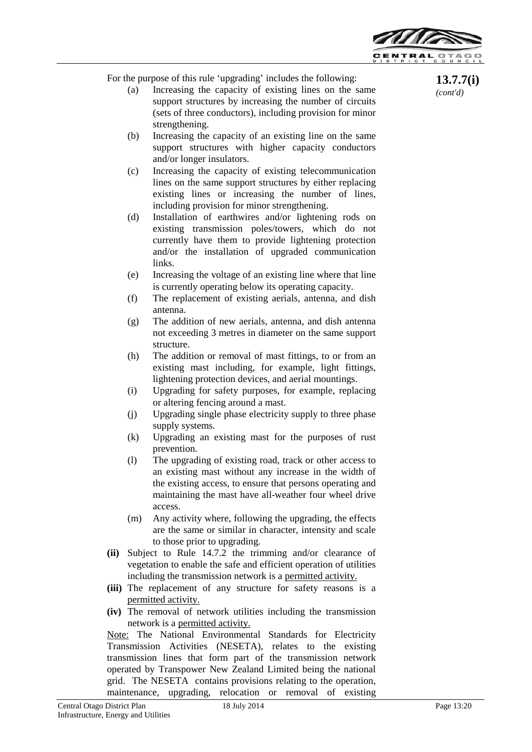

For the purpose of this rule 'upgrading' includes the following:

- (a) Increasing the capacity of existing lines on the same support structures by increasing the number of circuits (sets of three conductors), including provision for minor strengthening.
- (b) Increasing the capacity of an existing line on the same support structures with higher capacity conductors and/or longer insulators.
- (c) Increasing the capacity of existing telecommunication lines on the same support structures by either replacing existing lines or increasing the number of lines, including provision for minor strengthening.
- (d) Installation of earthwires and/or lightening rods on existing transmission poles/towers, which do not currently have them to provide lightening protection and/or the installation of upgraded communication links.
- (e) Increasing the voltage of an existing line where that line is currently operating below its operating capacity.
- (f) The replacement of existing aerials, antenna, and dish antenna.
- (g) The addition of new aerials, antenna, and dish antenna not exceeding 3 metres in diameter on the same support structure.
- (h) The addition or removal of mast fittings, to or from an existing mast including, for example, light fittings, lightening protection devices, and aerial mountings.
- (i) Upgrading for safety purposes, for example, replacing or altering fencing around a mast.
- (j) Upgrading single phase electricity supply to three phase supply systems.
- (k) Upgrading an existing mast for the purposes of rust prevention.
- (l) The upgrading of existing road, track or other access to an existing mast without any increase in the width of the existing access, to ensure that persons operating and maintaining the mast have all-weather four wheel drive access.
- (m) Any activity where, following the upgrading, the effects are the same or similar in character, intensity and scale to those prior to upgrading.
- **(ii)** Subject to Rule 14.7.2 the trimming and/or clearance of vegetation to enable the safe and efficient operation of utilities including the transmission network is a permitted activity.
- **(iii)** The replacement of any structure for safety reasons is a permitted activity.
- **(iv)** The removal of network utilities including the transmission network is a permitted activity.

Note: The National Environmental Standards for Electricity Transmission Activities (NESETA), relates to the existing transmission lines that form part of the transmission network operated by Transpower New Zealand Limited being the national grid. The NESETA contains provisions relating to the operation, maintenance, upgrading, relocation or removal of existing

**13.7.7(i)**  *(cont'd)*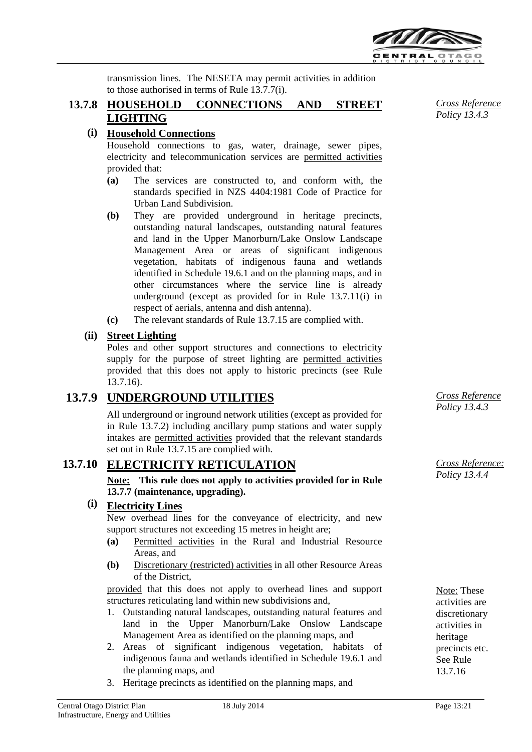

transmission lines. The NESETA may permit activities in addition to those authorised in terms of Rule 13.7.7(i).

## **13.7.8 HOUSEHOLD CONNECTIONS AND STREET LIGHTING**

## **(i) Household Connections**

Household connections to gas, water, drainage, sewer pipes, electricity and telecommunication services are permitted activities provided that:

- **(a)** The services are constructed to, and conform with, the standards specified in NZS 4404:1981 Code of Practice for Urban Land Subdivision.
- **(b)** They are provided underground in heritage precincts, outstanding natural landscapes, outstanding natural features and land in the Upper Manorburn/Lake Onslow Landscape Management Area or areas of significant indigenous vegetation, habitats of indigenous fauna and wetlands identified in Schedule 19.6.1 and on the planning maps, and in other circumstances where the service line is already underground (except as provided for in Rule 13.7.11(i) in respect of aerials, antenna and dish antenna).
- **(c)** The relevant standards of Rule 13.7.15 are complied with.

## **(ii) Street Lighting**

Poles and other support structures and connections to electricity supply for the purpose of street lighting are permitted activities provided that this does not apply to historic precincts (see Rule 13.7.16).

# **13.7.9 UNDERGROUND UTILITIES**

All underground or inground network utilities (except as provided for in Rule 13.7.2) including ancillary pump stations and water supply intakes are permitted activities provided that the relevant standards set out in Rule 13.7.15 are complied with.

# **13.7.10 ELECTRICITY RETICULATION**

**Note: This rule does not apply to activities provided for in Rule 13.7.7 (maintenance, upgrading).**

## **(i) Electricity Lines**

New overhead lines for the conveyance of electricity, and new support structures not exceeding 15 metres in height are;

- **(a)** Permitted activities in the Rural and Industrial Resource Areas, and
- **(b)** Discretionary (restricted) activities in all other Resource Areas of the District,

provided that this does not apply to overhead lines and support structures reticulating land within new subdivisions and,

- 1. Outstanding natural landscapes, outstanding natural features and land in the Upper Manorburn/Lake Onslow Landscape Management Area as identified on the planning maps, and
- 2. Areas of significant indigenous vegetation, habitats of indigenous fauna and wetlands identified in Schedule 19.6.1 and the planning maps, and
- 3. Heritage precincts as identified on the planning maps, and

*Cross Reference Policy 13.4.3*

*Cross Reference Policy 13.4.3*

*Cross Reference: Policy 13.4.4*

Note: These activities are discretionary activities in heritage precincts etc. See Rule 13.7.16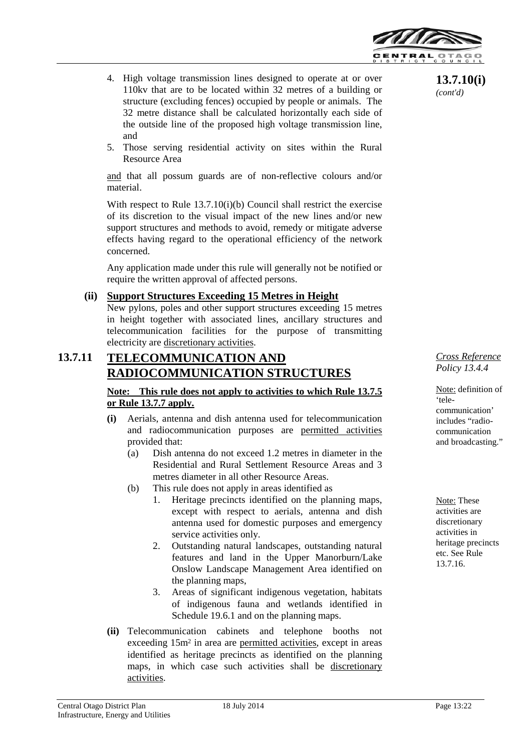

- 4. High voltage transmission lines designed to operate at or over 110kv that are to be located within 32 metres of a building or structure (excluding fences) occupied by people or animals. The 32 metre distance shall be calculated horizontally each side of the outside line of the proposed high voltage transmission line, and
- 5. Those serving residential activity on sites within the Rural Resource Area

and that all possum guards are of non-reflective colours and/or material.

With respect to Rule 13.7.10(i)(b) Council shall restrict the exercise of its discretion to the visual impact of the new lines and/or new support structures and methods to avoid, remedy or mitigate adverse effects having regard to the operational efficiency of the network concerned.

Any application made under this rule will generally not be notified or require the written approval of affected persons.

#### **(ii) Support Structures Exceeding 15 Metres in Height**

New pylons, poles and other support structures exceeding 15 metres in height together with associated lines, ancillary structures and telecommunication facilities for the purpose of transmitting electricity are discretionary activities.

# **13.7.11 TELECOMMUNICATION AND RADIOCOMMUNICATION STRUCTURES**

#### **Note: This rule does not apply to activities to which Rule 13.7.5 or Rule 13.7.7 apply.**

- **(i)** Aerials, antenna and dish antenna used for telecommunication and radiocommunication purposes are permitted activities provided that:
	- (a) Dish antenna do not exceed 1.2 metres in diameter in the Residential and Rural Settlement Resource Areas and 3 metres diameter in all other Resource Areas.
	- (b) This rule does not apply in areas identified as
		- 1. Heritage precincts identified on the planning maps, except with respect to aerials, antenna and dish antenna used for domestic purposes and emergency service activities only.
		- 2. Outstanding natural landscapes, outstanding natural features and land in the Upper Manorburn/Lake Onslow Landscape Management Area identified on the planning maps,
		- 3. Areas of significant indigenous vegetation, habitats of indigenous fauna and wetlands identified in Schedule 19.6.1 and on the planning maps.
- **(ii)** Telecommunication cabinets and telephone booths not exceeding 15m<sup>2</sup> in area are permitted activities, except in areas identified as heritage precincts as identified on the planning maps, in which case such activities shall be discretionary activities.

**13.7.10(i)** *(cont'd)*

*Cross Reference Policy 13.4.4*

Note: definition of 'telecommunication' includes "radiocommunication and broadcasting."

Note: These activities are discretionary activities in heritage precincts etc. See Rule 13.7.16.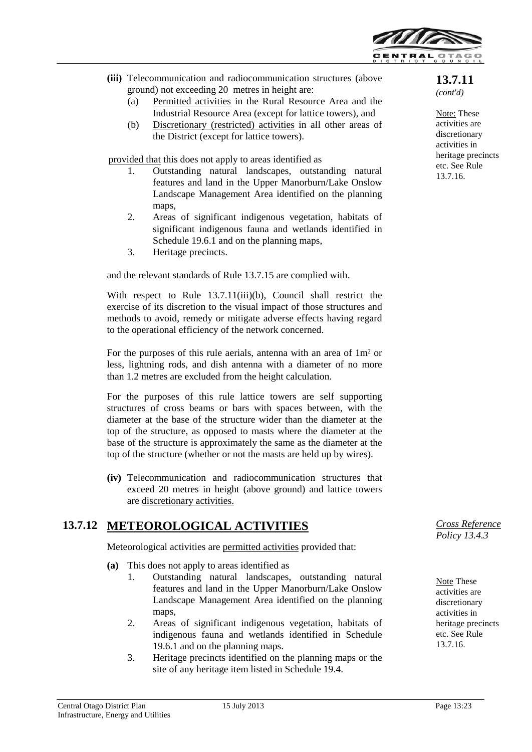

- **(iii)** Telecommunication and radiocommunication structures (above ground) not exceeding 20 metres in height are:
	- (a) Permitted activities in the Rural Resource Area and the Industrial Resource Area (except for lattice towers), and
	- (b) Discretionary (restricted) activities in all other areas of the District (except for lattice towers).

provided that this does not apply to areas identified as

- 1. Outstanding natural landscapes, outstanding natural features and land in the Upper Manorburn/Lake Onslow Landscape Management Area identified on the planning maps,
- 2. Areas of significant indigenous vegetation, habitats of significant indigenous fauna and wetlands identified in Schedule 19.6.1 and on the planning maps,
- 3. Heritage precincts.

and the relevant standards of Rule 13.7.15 are complied with.

With respect to Rule 13.7.11(iii)(b), Council shall restrict the exercise of its discretion to the visual impact of those structures and methods to avoid, remedy or mitigate adverse effects having regard to the operational efficiency of the network concerned.

For the purposes of this rule aerials, antenna with an area of 1m<sup>2</sup> or less, lightning rods, and dish antenna with a diameter of no more than 1.2 metres are excluded from the height calculation.

For the purposes of this rule lattice towers are self supporting structures of cross beams or bars with spaces between, with the diameter at the base of the structure wider than the diameter at the top of the structure, as opposed to masts where the diameter at the base of the structure is approximately the same as the diameter at the top of the structure (whether or not the masts are held up by wires).

**(iv)** Telecommunication and radiocommunication structures that exceed 20 metres in height (above ground) and lattice towers are discretionary activities.

# **13.7.12 METEOROLOGICAL ACTIVITIES**

Meteorological activities are permitted activities provided that:

- **(a)** This does not apply to areas identified as
	- 1. Outstanding natural landscapes, outstanding natural features and land in the Upper Manorburn/Lake Onslow Landscape Management Area identified on the planning maps.
	- 2. Areas of significant indigenous vegetation, habitats of indigenous fauna and wetlands identified in Schedule 19.6.1 and on the planning maps.
	- 3. Heritage precincts identified on the planning maps or the site of any heritage item listed in Schedule 19.4.

**13.7.11** *(cont'd)*

Note: These activities are discretionary activities in heritage precincts etc. See Rule 13.7.16.

*Cross Reference Policy 13.4.3*

Note These activities are discretionary activities in heritage precincts etc. See Rule 13.7.16.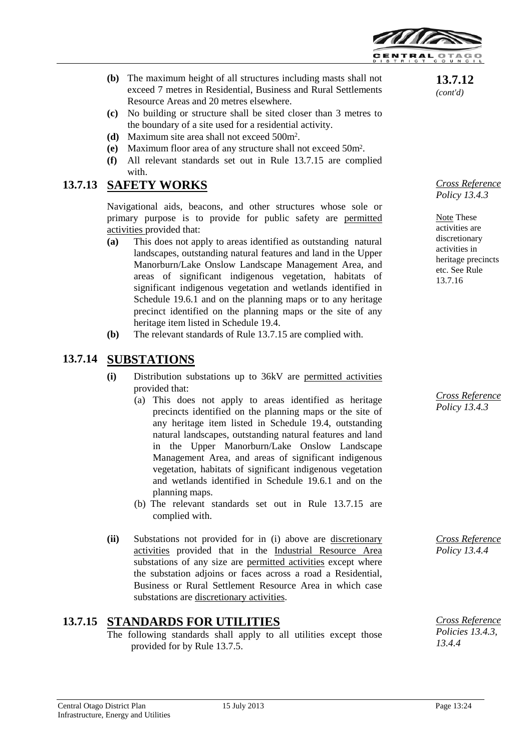

- **(b)** The maximum height of all structures including masts shall not exceed 7 metres in Residential, Business and Rural Settlements Resource Areas and 20 metres elsewhere.
- **(c)** No building or structure shall be sited closer than 3 metres to the boundary of a site used for a residential activity.
- **(d)** Maximum site area shall not exceed 500m2.
- **(e)** Maximum floor area of any structure shall not exceed 50m2.
- **(f)** All relevant standards set out in Rule 13.7.15 are complied with.

## **13.7.13 SAFETY WORKS**

Navigational aids, beacons, and other structures whose sole or primary purpose is to provide for public safety are permitted activities provided that:

- **(a)** This does not apply to areas identified as outstanding natural landscapes, outstanding natural features and land in the Upper Manorburn/Lake Onslow Landscape Management Area, and areas of significant indigenous vegetation, habitats of significant indigenous vegetation and wetlands identified in Schedule 19.6.1 and on the planning maps or to any heritage precinct identified on the planning maps or the site of any heritage item listed in Schedule 19.4.
- **(b)** The relevant standards of Rule 13.7.15 are complied with.

# **13.7.14 SUBSTATIONS**

- **(i)** Distribution substations up to 36kV are permitted activities provided that:
	- (a) This does not apply to areas identified as heritage precincts identified on the planning maps or the site of any heritage item listed in Schedule 19.4, outstanding natural landscapes, outstanding natural features and land in the Upper Manorburn/Lake Onslow Landscape Management Area, and areas of significant indigenous vegetation, habitats of significant indigenous vegetation and wetlands identified in Schedule 19.6.1 and on the planning maps.
	- (b) The relevant standards set out in Rule 13.7.15 are complied with.
- **(ii)** Substations not provided for in (i) above are discretionary activities provided that in the Industrial Resource Area substations of any size are permitted activities except where the substation adjoins or faces across a road a Residential, Business or Rural Settlement Resource Area in which case substations are discretionary activities.

# **13.7.15 STANDARDS FOR UTILITIES**

The following standards shall apply to all utilities except those provided for by Rule 13.7.5.

**13.7.12** *(cont'd)*

*Cross Reference Policy 13.4.3*

Note These activities are discretionary activities in heritage precincts etc. See Rule 13.7.16

*Cross Reference Policy 13.4.3*

*Cross Reference Policy 13.4.4*

*Cross Reference Policies 13.4.3, 13.4.4*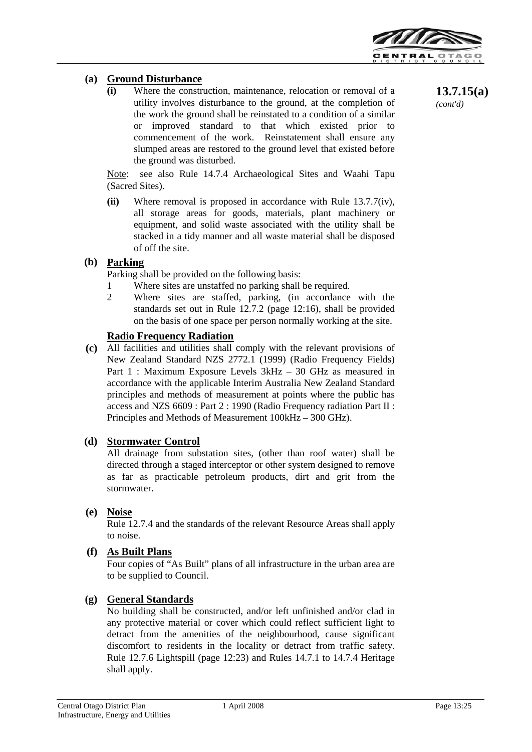

## **(a) Ground Disturbance**

**(i)** Where the construction, maintenance, relocation or removal of a utility involves disturbance to the ground, at the completion of the work the ground shall be reinstated to a condition of a similar or improved standard to that which existed prior to commencement of the work. Reinstatement shall ensure any slumped areas are restored to the ground level that existed before the ground was disturbed.

Note: see also Rule 14.7.4 Archaeological Sites and Waahi Tapu (Sacred Sites).

**(ii)** Where removal is proposed in accordance with Rule 13.7.7(iv), all storage areas for goods, materials, plant machinery or equipment, and solid waste associated with the utility shall be stacked in a tidy manner and all waste material shall be disposed of off the site.

#### **(b) Parking**

Parking shall be provided on the following basis:

- 1 Where sites are unstaffed no parking shall be required.
- 2 Where sites are staffed, parking, (in accordance with the standards set out in Rule 12.7.2 (page 12:16), shall be provided on the basis of one space per person normally working at the site.

#### **Radio Frequency Radiation**

**(c)** All facilities and utilities shall comply with the relevant provisions of New Zealand Standard NZS 2772.1 (1999) (Radio Frequency Fields) Part 1 : Maximum Exposure Levels 3kHz – 30 GHz as measured in accordance with the applicable Interim Australia New Zealand Standard principles and methods of measurement at points where the public has access and NZS 6609 : Part 2 : 1990 (Radio Frequency radiation Part II : Principles and Methods of Measurement 100kHz – 300 GHz).

#### **(d) Stormwater Control**

All drainage from substation sites, (other than roof water) shall be directed through a staged interceptor or other system designed to remove as far as practicable petroleum products, dirt and grit from the stormwater.

## **(e) Noise**

Rule 12.7.4 and the standards of the relevant Resource Areas shall apply to noise.

#### **(f) As Built Plans**

Four copies of "As Built" plans of all infrastructure in the urban area are to be supplied to Council.

#### **(g) General Standards**

No building shall be constructed, and/or left unfinished and/or clad in any protective material or cover which could reflect sufficient light to detract from the amenities of the neighbourhood, cause significant discomfort to residents in the locality or detract from traffic safety. Rule 12.7.6 Lightspill (page 12:23) and Rules 14.7.1 to 14.7.4 Heritage shall apply.

**13.7.15(a)** *(cont'd)*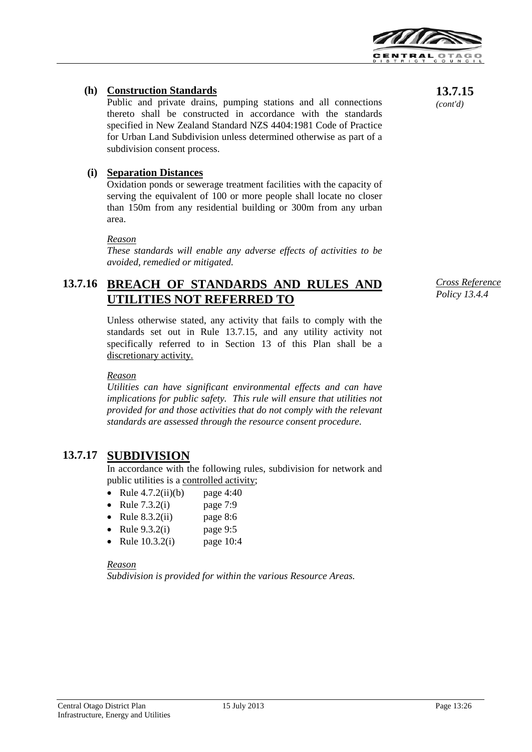

## **(h) Construction Standards**

Public and private drains, pumping stations and all connections thereto shall be constructed in accordance with the standards specified in New Zealand Standard NZS 4404:1981 Code of Practice for Urban Land Subdivision unless determined otherwise as part of a subdivision consent process.

## **(i) Separation Distances**

Oxidation ponds or sewerage treatment facilities with the capacity of serving the equivalent of 100 or more people shall locate no closer than 150m from any residential building or 300m from any urban area.

#### *Reason*

*These standards will enable any adverse effects of activities to be avoided, remedied or mitigated.*

# **13.7.16 BREACH OF STANDARDS AND RULES AND UTILITIES NOT REFERRED TO**

Unless otherwise stated, any activity that fails to comply with the standards set out in Rule 13.7.15, and any utility activity not specifically referred to in Section 13 of this Plan shall be a discretionary activity.

#### *Reason*

*Utilities can have significant environmental effects and can have implications for public safety. This rule will ensure that utilities not provided for and those activities that do not comply with the relevant standards are assessed through the resource consent procedure.*

## **13.7.17 SUBDIVISION**

In accordance with the following rules, subdivision for network and public utilities is a controlled activity;

- Rule  $4.7.2(ii)(b)$  page  $4:40$
- Rule  $7.3.2(i)$  page  $7:9$
- Rule  $8.3.2(ii)$  page  $8:6$
- Rule  $9.3.2(i)$  page  $9:5$
- Rule 10.3.2(i) page 10:4

*Reason Subdivision is provided for within the various Resource Areas.* **13.7.15** *(cont'd)*